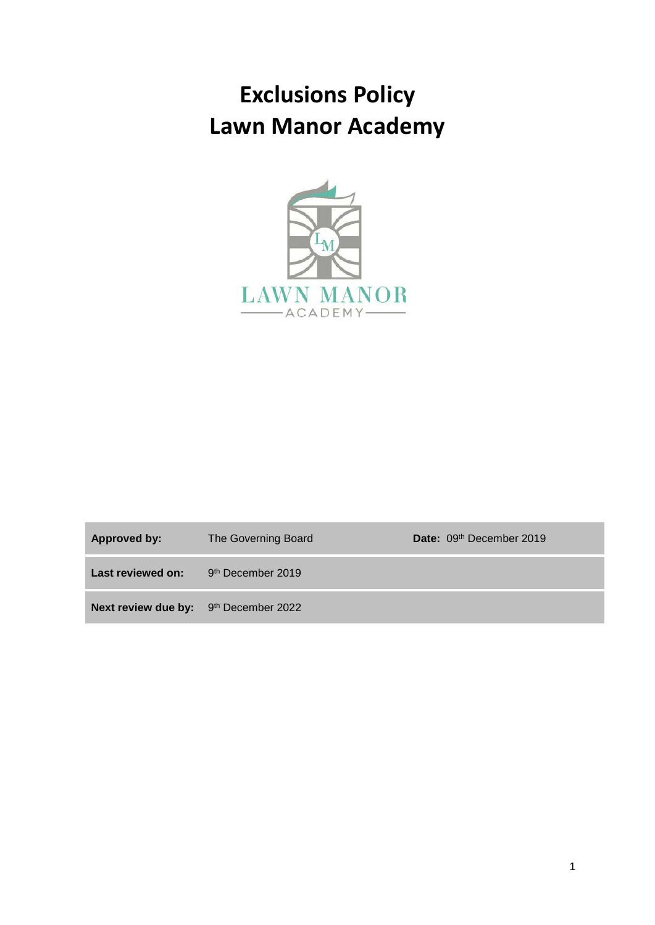# **Exclusions Policy Lawn Manor Academy**



| <b>Approved by:</b>                   | The Governing Board           | Date: 09th December 2019 |
|---------------------------------------|-------------------------------|--------------------------|
| Last reviewed on:                     | 9 <sup>th</sup> December 2019 |                          |
| Next review due by: 9th December 2022 |                               |                          |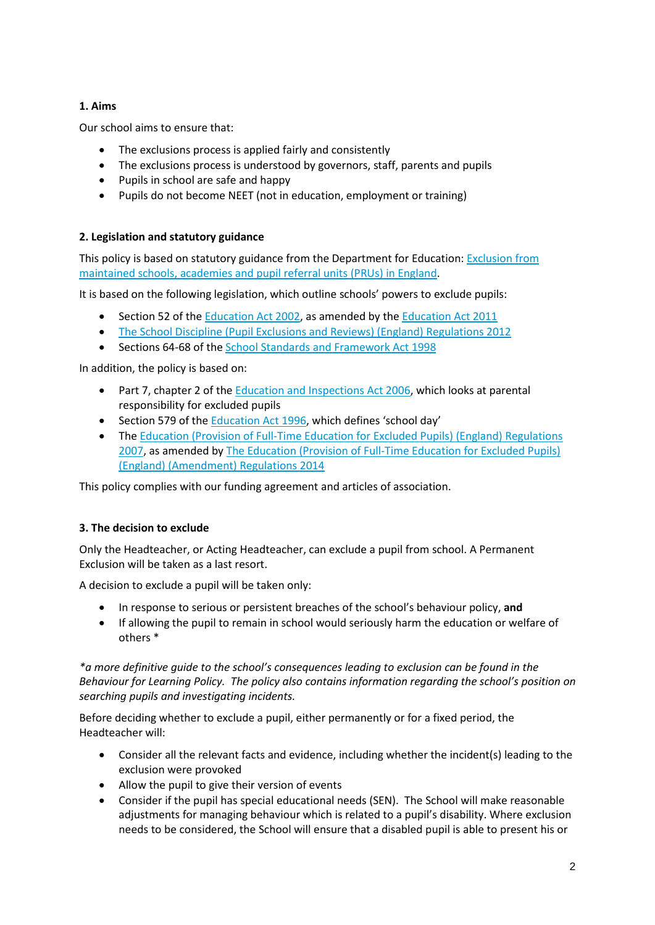# **1. Aims**

Our school aims to ensure that:

- The exclusions process is applied fairly and consistently
- The exclusions process is understood by governors, staff, parents and pupils
- Pupils in school are safe and happy
- Pupils do not become NEET (not in education, employment or training)

# **2. Legislation and statutory guidance**

This policy is based on statutory guidance from the Department for Education: [Exclusion from](https://www.gov.uk/government/publications/school-exclusion)  [maintained schools, academies and pupil referral units \(PRUs\) in England.](https://www.gov.uk/government/publications/school-exclusion)

It is based on the following legislation, which outline schools' powers to exclude pupils:

- Section 52 of the [Education Act 2002,](http://www.legislation.gov.uk/ukpga/2002/32/section/52) as amended by th[e Education Act 2011](http://www.legislation.gov.uk/ukpga/2011/21/contents/enacted)
- [The School Discipline \(Pupil Exclusions and Reviews\) \(England\) Regulations 2012](http://www.legislation.gov.uk/uksi/2012/1033/made)
- Sections 64-68 of the [School Standards and Framework Act 1998](http://www.legislation.gov.uk/ukpga/1998/31)

In addition, the policy is based on:

- Part 7, chapter 2 of the [Education and Inspections Act 2006,](http://www.legislation.gov.uk/ukpga/2006/40/part/7/chapter/2) which looks at parental responsibility for excluded pupils
- Section 579 of th[e Education Act 1996,](http://www.legislation.gov.uk/ukpga/1996/56/section/579) which defines 'school day'
- The Education (Provision of Full-Time Education for Excluded Pupils) (England) Regulations [2007,](http://www.legislation.gov.uk/uksi/2007/1870/contents/made) as amended b[y The Education \(Provision of Full-Time Education for Excluded Pupils\)](http://www.legislation.gov.uk/uksi/2014/3216/contents/made)  [\(England\) \(Amendment\) Regulations 2014](http://www.legislation.gov.uk/uksi/2014/3216/contents/made)

This policy complies with our funding agreement and articles of association.

# **3. The decision to exclude**

Only the Headteacher, or Acting Headteacher, can exclude a pupil from school. A Permanent Exclusion will be taken as a last resort.

A decision to exclude a pupil will be taken only:

- In response to serious or persistent breaches of the school's behaviour policy, **and**
- If allowing the pupil to remain in school would seriously harm the education or welfare of others \*

*\*a more definitive guide to the school's consequences leading to exclusion can be found in the Behaviour for Learning Policy. The policy also contains information regarding the school's position on searching pupils and investigating incidents.*

Before deciding whether to exclude a pupil, either permanently or for a fixed period, the Headteacher will:

- Consider all the relevant facts and evidence, including whether the incident(s) leading to the exclusion were provoked
- Allow the pupil to give their version of events
- Consider if the pupil has special educational needs (SEN). The School will make reasonable adjustments for managing behaviour which is related to a pupil's disability. Where exclusion needs to be considered, the School will ensure that a disabled pupil is able to present his or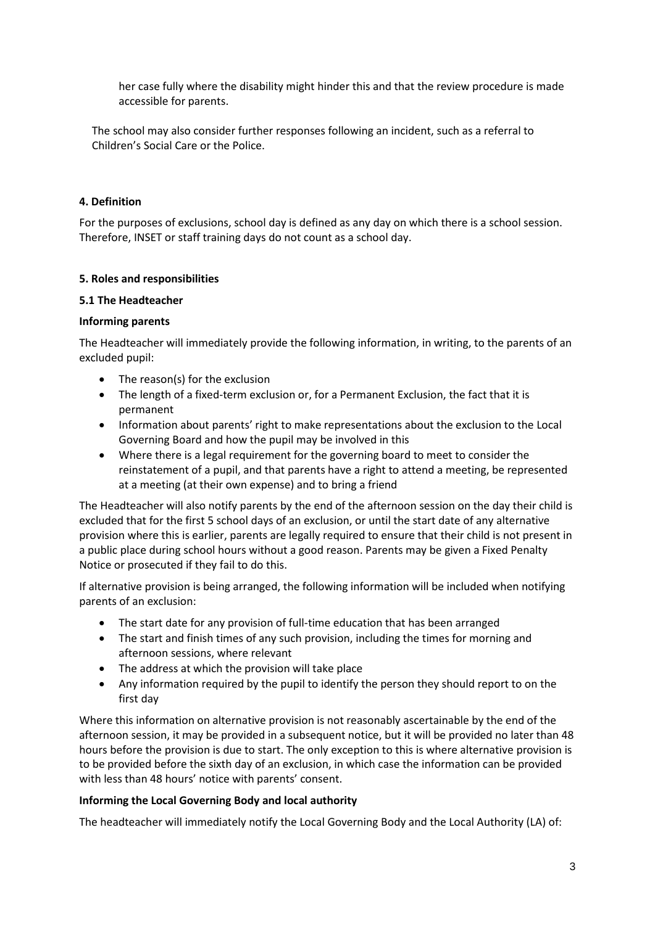her case fully where the disability might hinder this and that the review procedure is made accessible for parents.

The school may also consider further responses following an incident, such as a referral to Children's Social Care or the Police.

## **4. Definition**

For the purposes of exclusions, school day is defined as any day on which there is a school session. Therefore, INSET or staff training days do not count as a school day.

## **5. Roles and responsibilities**

### **5.1 The Headteacher**

## **Informing parents**

The Headteacher will immediately provide the following information, in writing, to the parents of an excluded pupil:

- The reason(s) for the exclusion
- The length of a fixed-term exclusion or, for a Permanent Exclusion, the fact that it is permanent
- Information about parents' right to make representations about the exclusion to the Local Governing Board and how the pupil may be involved in this
- Where there is a legal requirement for the governing board to meet to consider the reinstatement of a pupil, and that parents have a right to attend a meeting, be represented at a meeting (at their own expense) and to bring a friend

The Headteacher will also notify parents by the end of the afternoon session on the day their child is excluded that for the first 5 school days of an exclusion, or until the start date of any alternative provision where this is earlier, parents are legally required to ensure that their child is not present in a public place during school hours without a good reason. Parents may be given a Fixed Penalty Notice or prosecuted if they fail to do this.

If alternative provision is being arranged, the following information will be included when notifying parents of an exclusion:

- The start date for any provision of full-time education that has been arranged
- The start and finish times of any such provision, including the times for morning and afternoon sessions, where relevant
- The address at which the provision will take place
- Any information required by the pupil to identify the person they should report to on the first day

Where this information on alternative provision is not reasonably ascertainable by the end of the afternoon session, it may be provided in a subsequent notice, but it will be provided no later than 48 hours before the provision is due to start. The only exception to this is where alternative provision is to be provided before the sixth day of an exclusion, in which case the information can be provided with less than 48 hours' notice with parents' consent.

### **Informing the Local Governing Body and local authority**

The headteacher will immediately notify the Local Governing Body and the Local Authority (LA) of: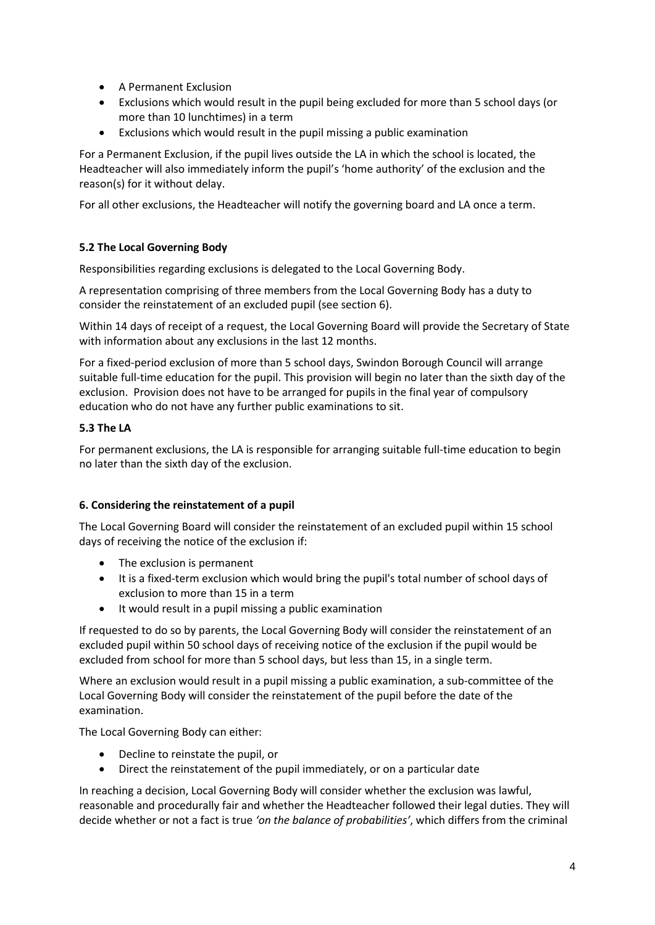- A Permanent Exclusion
- Exclusions which would result in the pupil being excluded for more than 5 school days (or more than 10 lunchtimes) in a term
- Exclusions which would result in the pupil missing a public examination

For a Permanent Exclusion, if the pupil lives outside the LA in which the school is located, the Headteacher will also immediately inform the pupil's 'home authority' of the exclusion and the reason(s) for it without delay.

For all other exclusions, the Headteacher will notify the governing board and LA once a term.

# **5.2 The Local Governing Body**

Responsibilities regarding exclusions is delegated to the Local Governing Body.

A representation comprising of three members from the Local Governing Body has a duty to consider the reinstatement of an excluded pupil (see section 6).

Within 14 days of receipt of a request, the Local Governing Board will provide the Secretary of State with information about any exclusions in the last 12 months.

For a fixed-period exclusion of more than 5 school days, Swindon Borough Council will arrange suitable full-time education for the pupil. This provision will begin no later than the sixth day of the exclusion. Provision does not have to be arranged for pupils in the final year of compulsory education who do not have any further public examinations to sit.

# **5.3 The LA**

For permanent exclusions, the LA is responsible for arranging suitable full-time education to begin no later than the sixth day of the exclusion.

# **6. Considering the reinstatement of a pupil**

The Local Governing Board will consider the reinstatement of an excluded pupil within 15 school days of receiving the notice of the exclusion if:

- The exclusion is permanent
- It is a fixed-term exclusion which would bring the pupil's total number of school days of exclusion to more than 15 in a term
- It would result in a pupil missing a public examination

If requested to do so by parents, the Local Governing Body will consider the reinstatement of an excluded pupil within 50 school days of receiving notice of the exclusion if the pupil would be excluded from school for more than 5 school days, but less than 15, in a single term.

Where an exclusion would result in a pupil missing a public examination, a sub-committee of the Local Governing Body will consider the reinstatement of the pupil before the date of the examination.

The Local Governing Body can either:

- Decline to reinstate the pupil, or
- Direct the reinstatement of the pupil immediately, or on a particular date

In reaching a decision, Local Governing Body will consider whether the exclusion was lawful, reasonable and procedurally fair and whether the Headteacher followed their legal duties. They will decide whether or not a fact is true *'on the balance of probabilities'*, which differs from the criminal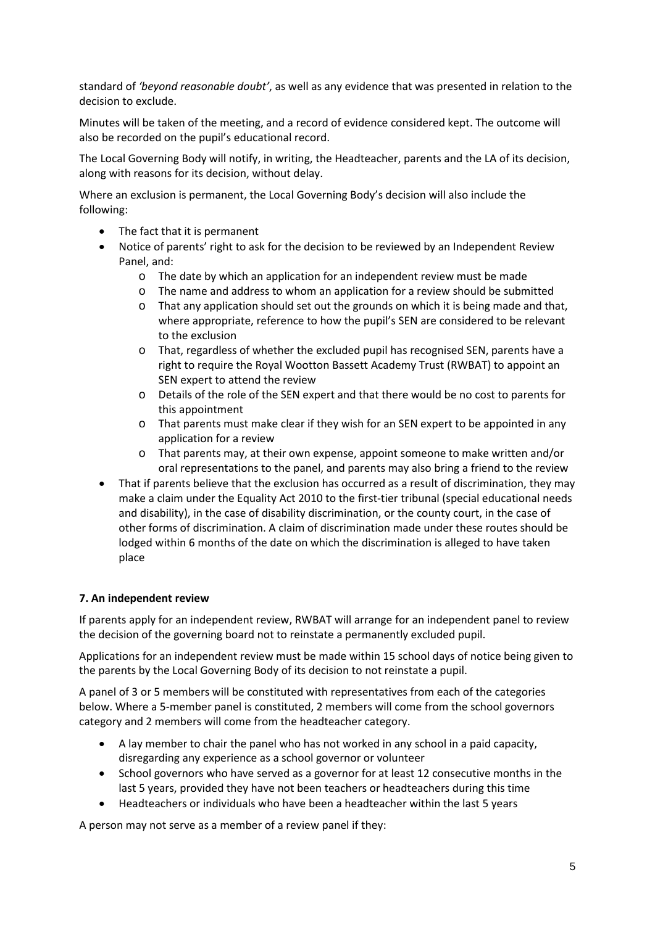standard of *'beyond reasonable doubt'*, as well as any evidence that was presented in relation to the decision to exclude.

Minutes will be taken of the meeting, and a record of evidence considered kept. The outcome will also be recorded on the pupil's educational record.

The Local Governing Body will notify, in writing, the Headteacher, parents and the LA of its decision, along with reasons for its decision, without delay.

Where an exclusion is permanent, the Local Governing Body's decision will also include the following:

- The fact that it is permanent
- Notice of parents' right to ask for the decision to be reviewed by an Independent Review Panel, and:
	- o The date by which an application for an independent review must be made
	- o The name and address to whom an application for a review should be submitted
	- o That any application should set out the grounds on which it is being made and that, where appropriate, reference to how the pupil's SEN are considered to be relevant to the exclusion
	- o That, regardless of whether the excluded pupil has recognised SEN, parents have a right to require the Royal Wootton Bassett Academy Trust (RWBAT) to appoint an SEN expert to attend the review
	- o Details of the role of the SEN expert and that there would be no cost to parents for this appointment
	- o That parents must make clear if they wish for an SEN expert to be appointed in any application for a review
	- o That parents may, at their own expense, appoint someone to make written and/or oral representations to the panel, and parents may also bring a friend to the review
- That if parents believe that the exclusion has occurred as a result of discrimination, they may make a claim under the Equality Act 2010 to the first-tier tribunal (special educational needs and disability), in the case of disability discrimination, or the county court, in the case of other forms of discrimination. A claim of discrimination made under these routes should be lodged within 6 months of the date on which the discrimination is alleged to have taken place

### **7. An independent review**

If parents apply for an independent review, RWBAT will arrange for an independent panel to review the decision of the governing board not to reinstate a permanently excluded pupil.

Applications for an independent review must be made within 15 school days of notice being given to the parents by the Local Governing Body of its decision to not reinstate a pupil.

A panel of 3 or 5 members will be constituted with representatives from each of the categories below. Where a 5-member panel is constituted, 2 members will come from the school governors category and 2 members will come from the headteacher category.

- A lay member to chair the panel who has not worked in any school in a paid capacity, disregarding any experience as a school governor or volunteer
- School governors who have served as a governor for at least 12 consecutive months in the last 5 years, provided they have not been teachers or headteachers during this time
- Headteachers or individuals who have been a headteacher within the last 5 years

A person may not serve as a member of a review panel if they: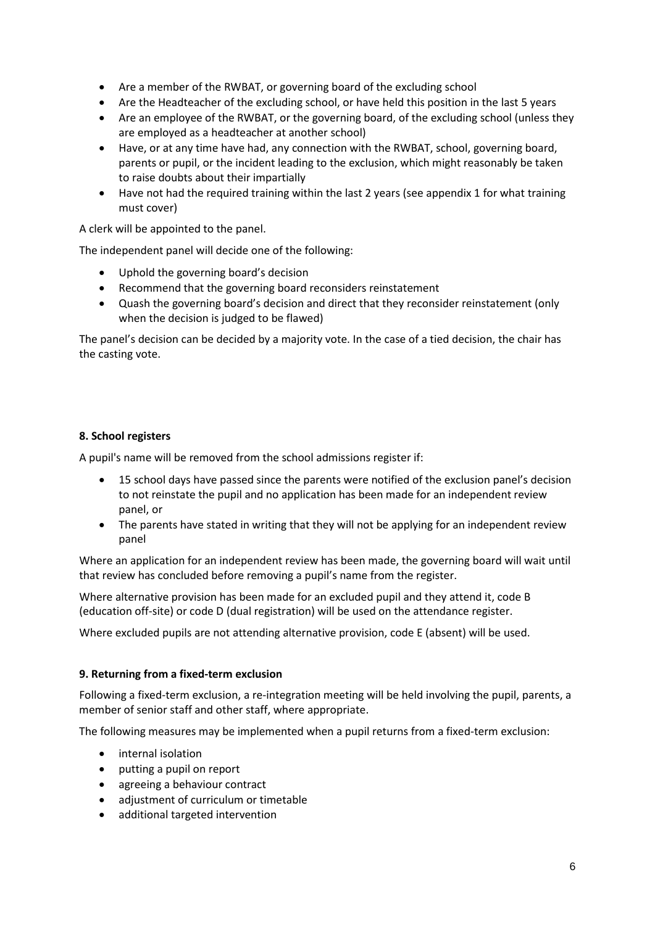- Are a member of the RWBAT, or governing board of the excluding school
- Are the Headteacher of the excluding school, or have held this position in the last 5 years
- Are an employee of the RWBAT, or the governing board, of the excluding school (unless they are employed as a headteacher at another school)
- Have, or at any time have had, any connection with the RWBAT, school, governing board, parents or pupil, or the incident leading to the exclusion, which might reasonably be taken to raise doubts about their impartially
- Have not had the required training within the last 2 years (see appendix 1 for what training must cover)

A clerk will be appointed to the panel.

The independent panel will decide one of the following:

- Uphold the governing board's decision
- Recommend that the governing board reconsiders reinstatement
- Quash the governing board's decision and direct that they reconsider reinstatement (only when the decision is judged to be flawed)

The panel's decision can be decided by a majority vote. In the case of a tied decision, the chair has the casting vote.

# **8. School registers**

A pupil's name will be removed from the school admissions register if:

- 15 school days have passed since the parents were notified of the exclusion panel's decision to not reinstate the pupil and no application has been made for an independent review panel, or
- The parents have stated in writing that they will not be applying for an independent review panel

Where an application for an independent review has been made, the governing board will wait until that review has concluded before removing a pupil's name from the register.

Where alternative provision has been made for an excluded pupil and they attend it, code B (education off-site) or code D (dual registration) will be used on the attendance register.

Where excluded pupils are not attending alternative provision, code E (absent) will be used.

### **9. Returning from a fixed-term exclusion**

Following a fixed-term exclusion, a re-integration meeting will be held involving the pupil, parents, a member of senior staff and other staff, where appropriate.

The following measures may be implemented when a pupil returns from a fixed-term exclusion:

- internal isolation
- putting a pupil on report
- agreeing a behaviour contract
- adjustment of curriculum or timetable
- additional targeted intervention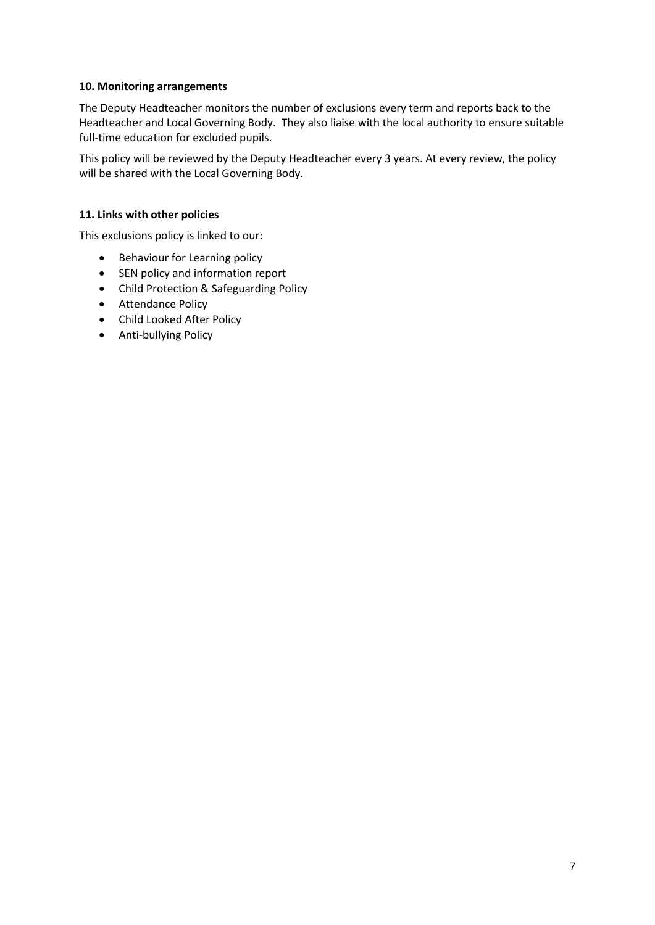## **10. Monitoring arrangements**

The Deputy Headteacher monitors the number of exclusions every term and reports back to the Headteacher and Local Governing Body. They also liaise with the local authority to ensure suitable full-time education for excluded pupils.

This policy will be reviewed by the Deputy Headteacher every 3 years. At every review, the policy will be shared with the Local Governing Body.

## **11. Links with other policies**

This exclusions policy is linked to our:

- Behaviour for Learning policy
- SEN policy and information report
- Child Protection & Safeguarding Policy
- Attendance Policy
- Child Looked After Policy
- Anti-bullying Policy